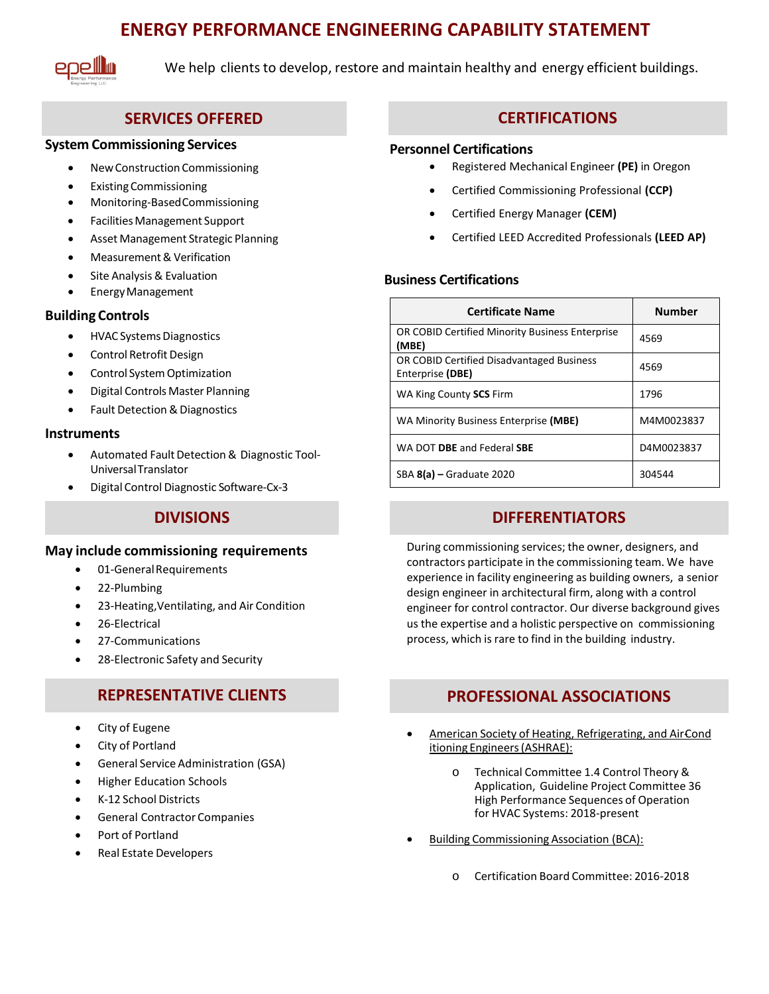# **ENERGY PERFORMANCE ENGINEERING CAPABILITY STATEMENT**



We help clients to develop, restore and maintain healthy and energy efficient buildings.

## **SERVICES OFFERED**

### **System Commissioning Services**

- NewConstruction Commissioning
- ExistingCommissioning
- Monitoring-BasedCommissioning
- Facilities Management Support
- Asset Management Strategic Planning
- Measurement& Verification
- Site Analysis & Evaluation
- EnergyManagement

### **Building Controls**

- **HVAC Systems Diagnostics**
- Control Retrofit Design
- Control System Optimization
- Digital Controls Master Planning
- Fault Detection & Diagnostics

#### **Instruments**

- Automated Fault Detection & Diagnostic Tool-UniversalTranslator
- Digital Control Diagnostic Software-Cx-3

## **DIVISIONS**

#### **May include commissioning requirements**

- 01-General Requirements
- 22-Plumbing
- 23-Heating,Ventilating, and Air Condition
- 26-Electrical
- 27-Communications
- 28-Electronic Safety and Security

## **REPRESENTATIVE CLIENTS**

- City of Eugene
- City of Portland
- General Service Administration (GSA)
- Higher Education Schools
- K-12 School Districts
- General Contractor Companies
- Port of Portland
- Real Estate Developers

## **CERTIFICATIONS**

#### **Personnel Certifications**

- Registered Mechanical Engineer **(PE)** in Oregon
- Certified Commissioning Professional **(CCP)**
- Certified Energy Manager **(CEM)**
- Certified LEED Accredited Professionals **(LEED AP)**

### **Business Certifications**

| <b>Certificate Name</b>                                       | <b>Number</b> |
|---------------------------------------------------------------|---------------|
| OR COBID Certified Minority Business Enterprise<br>(MBE)      | 4569          |
| OR COBID Certified Disadvantaged Business<br>Enterprise (DBE) | 4569          |
| WA King County SCS Firm                                       | 1796          |
| WA Minority Business Enterprise (MBE)                         | M4M0023837    |
| WA DOT DBE and Federal SBE                                    | D4M0023837    |
| $SBA 8(a) - Graduate 2020$                                    | 304544        |

## **DIFFERENTIATORS**

During commissioning services; the owner, designers, and contractors participate in the commissioning team. We have experience in facility engineering as building owners, a senior design engineer in architectural firm, along with a control engineer for control contractor. Our diverse background gives us the expertise and a holistic perspective on commissioning process, which is rare to find in the building industry.

## **PROFESSIONAL ASSOCIATIONS**

- American Society of Heating, Refrigerating, and AirCond itioning Engineers(ASHRAE):
	- o Technical Committee 1.4 Control Theory & Application, Guideline Project Committee 36 High Performance Sequences of Operation for HVAC Systems: 2018-present
- Building Commissioning Association (BCA):
	- o Certification Board Committee: 2016-2018